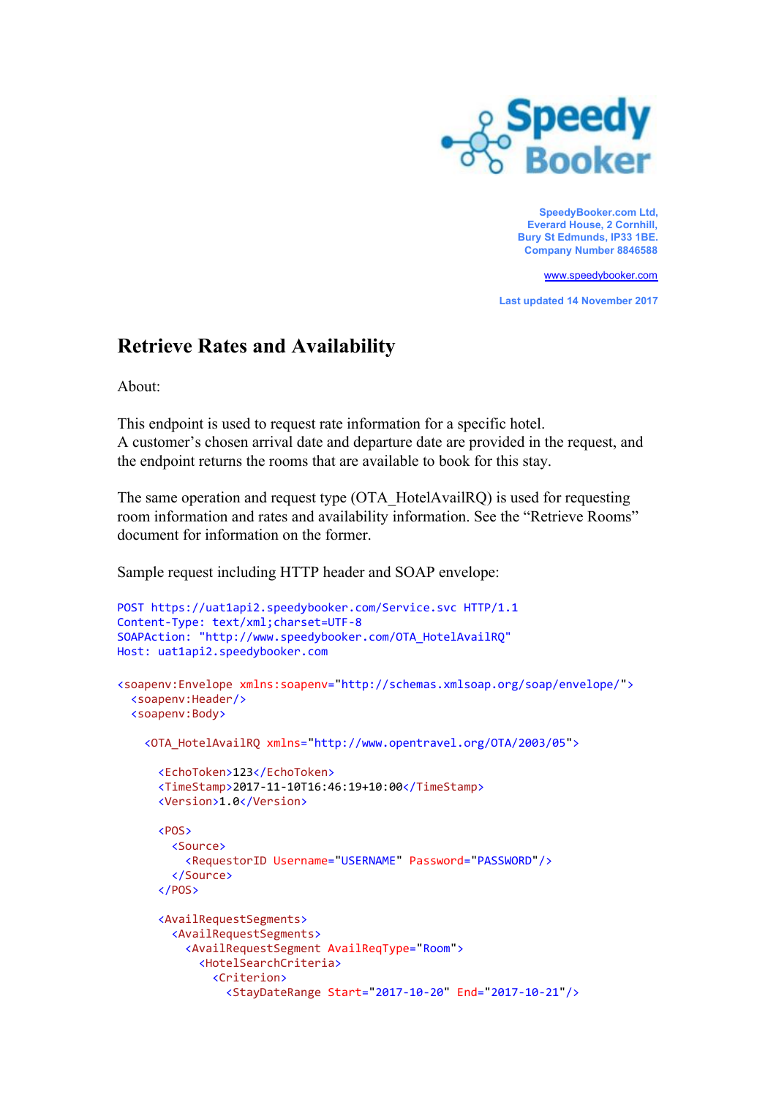

**SpeedyBooker.com Ltd, Everard House, 2 Cornhill, Bury St Edmunds, IP33 1BE. Company Number 8846588**

[www.speedybooker.com](http://www.speedybooker.com/)

**Last updated 14 November 2017**

## **Retrieve Rates and Availability**

About:

This endpoint is used to request rate information for a specific hotel. A customer's chosen arrival date and departure date are provided in the request, and the endpoint returns the rooms that are available to book for this stay.

The same operation and request type (OTA\_HotelAvailRQ) is used for requesting room information and rates and availability information. See the "Retrieve Rooms" document for information on the former.

Sample request including HTTP header and SOAP envelope:

```
POST https://uat1api2.speedybooker.com/Service.svc HTTP/1.1
Content-Type: text/xml;charset=UTF-8
SOAPAction: "http://www.speedybooker.com/OTA_HotelAvailRQ"
Host: uat1api2.speedybooker.com
<soapenv:Envelope xmlns:soapenv="http://schemas.xmlsoap.org/soap/envelope/">
  <soapenv:Header/>
  <soapenv:Body>
    <OTA_HotelAvailRQ xmlns="http://www.opentravel.org/OTA/2003/05">
      <EchoToken>123</EchoToken>
      <TimeStamp>2017-11-10T16:46:19+10:00</TimeStamp>
      <Version>1.0</Version>
      <POS>
        <Source>
         <RequestorID Username="USERNAME" Password="PASSWORD"/>
        </Source>
      </POS>
      <AvailRequestSegments>
        <AvailRequestSegments>
          <AvailRequestSegment AvailReqType="Room">
            <HotelSearchCriteria>
              <Criterion>
                <StayDateRange Start="2017-10-20" End="2017-10-21"/>
```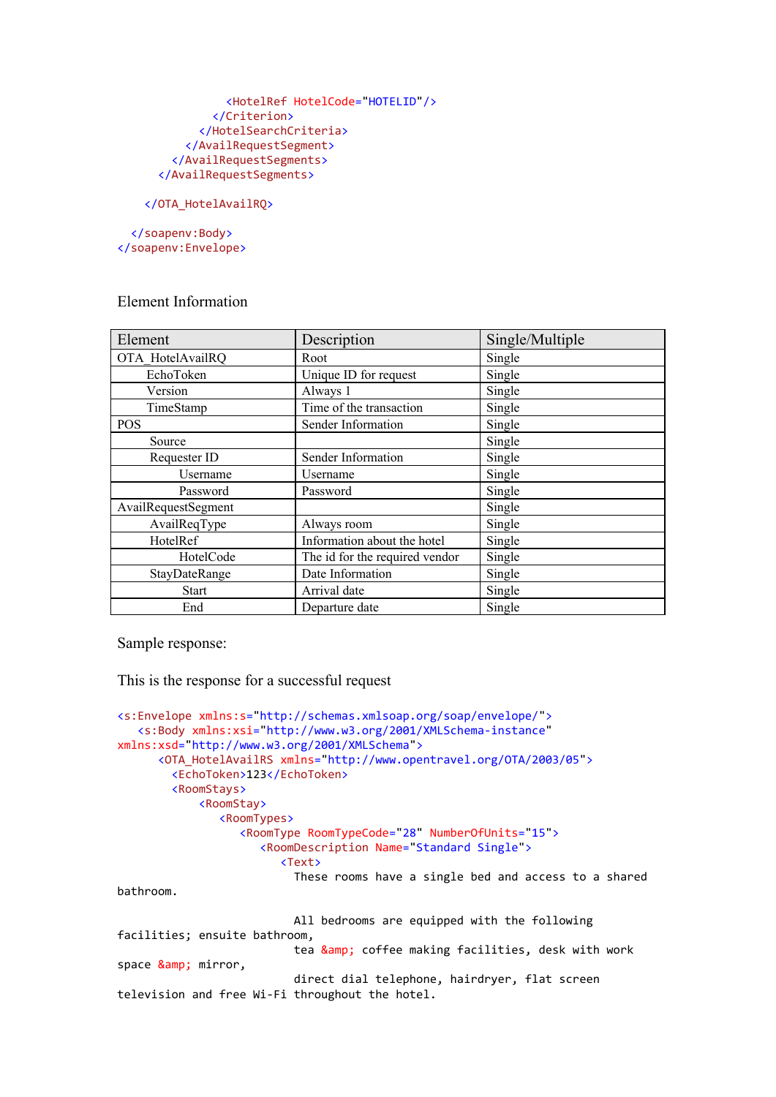```
<HotelRef HotelCode="HOTELID"/>
        </Criterion>
      </HotelSearchCriteria>
    </AvailRequestSegment>
  </AvailRequestSegments>
</AvailRequestSegments>
```
## </OTA\_HotelAvailRQ>

</soapenv:Body> </soapenv:Envelope>

## Element Information

| Element             | Description                    | Single/Multiple |
|---------------------|--------------------------------|-----------------|
| OTA HotelAvailRQ    | Root                           | Single          |
| EchoToken           | Unique ID for request          | Single          |
| Version             | Always 1                       | Single          |
| TimeStamp           | Time of the transaction        | Single          |
| <b>POS</b>          | Sender Information             | Single          |
| Source              |                                | Single          |
| Requester ID        | Sender Information             | Single          |
| Username            | Username                       | Single          |
| Password            | Password                       | Single          |
| AvailRequestSegment |                                | Single          |
| AvailReqType        | Always room                    | Single          |
| HotelRef            | Information about the hotel    | Single          |
| HotelCode           | The id for the required vendor | Single          |
| StayDateRange       | Date Information               | Single          |
| <b>Start</b>        | Arrival date                   | Single          |
| End                 | Departure date                 | Single          |

Sample response:

This is the response for a successful request

```
<s:Envelope xmlns:s="http://schemas.xmlsoap.org/soap/envelope/">
   <s:Body xmlns:xsi="http://www.w3.org/2001/XMLSchema-instance"
xmlns:xsd="http://www.w3.org/2001/XMLSchema">
      <OTA_HotelAvailRS xmlns="http://www.opentravel.org/OTA/2003/05">
        <EchoToken>123</EchoToken>
        <RoomStays>
            <RoomStay>
               <RoomTypes>
                  <RoomType RoomTypeCode="28" NumberOfUnits="15">
                    <RoomDescription Name="Standard Single">
                        <Text>
                         These rooms have a single bed and access to a shared
bathroom.
                         All bedrooms are equipped with the following
facilities; ensuite bathroom,
                         tea & coffee making facilities, desk with work
space & mirror,
                         direct dial telephone, hairdryer, flat screen
television and free Wi-Fi throughout the hotel.
```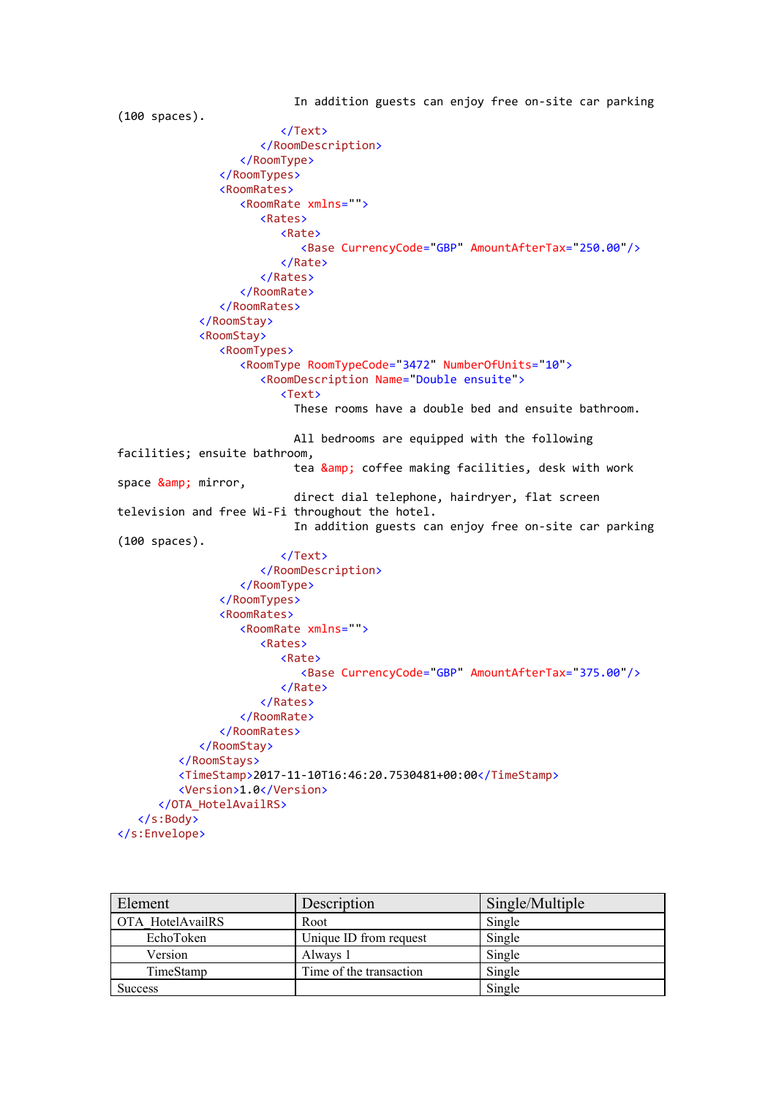```
In addition guests can enjoy free on-site car parking
(100 spaces).
                        </Text>
                     </RoomDescription>
                  </RoomType>
               </RoomTypes>
               <RoomRates>
                  <RoomRate xmlns="">
                     <Rates>
                        <Rate>
                           <Base CurrencyCode="GBP" AmountAfterTax="250.00"/>
                        </Rate>
                     </Rates>
                  </RoomRate>
               </RoomRates>
            </RoomStay>
            <RoomStay>
               <RoomTypes>
                  <RoomType RoomTypeCode="3472" NumberOfUnits="10">
                     <RoomDescription Name="Double ensuite">
                        <Text>
                          These rooms have a double bed and ensuite bathroom.
                          All bedrooms are equipped with the following
facilities; ensuite bathroom,
                          tea & coffee making facilities, desk with work
space & mirror,
                          direct dial telephone, hairdryer, flat screen
television and free Wi-Fi throughout the hotel.
                          In addition guests can enjoy free on-site car parking
(100 spaces).
                        </Text>
                     </RoomDescription>
                  </RoomType>
               </RoomTypes>
               <RoomRates>
                  <RoomRate xmlns="">
                     <Rates>
                        <Rate>
                           <Base CurrencyCode="GBP" AmountAfterTax="375.00"/>
                        </Rate>
                     </Rates>
                  </RoomRate>
               </RoomRates>
            </RoomStay>
         </RoomStays>
         <TimeStamp>2017-11-10T16:46:20.7530481+00:00</TimeStamp>
         <Version>1.0</Version>
      </OTA_HotelAvailRS>
   </s:Body>
</s:Envelope>
```

| Element          | Description             | Single/Multiple |
|------------------|-------------------------|-----------------|
| OTA HotelAvailRS | Root                    | Single          |
| EchoToken        | Unique ID from request  | Single          |
| Version          | Always 1                | Single          |
| TimeStamp        | Time of the transaction | Single          |
| <b>Success</b>   |                         | Single          |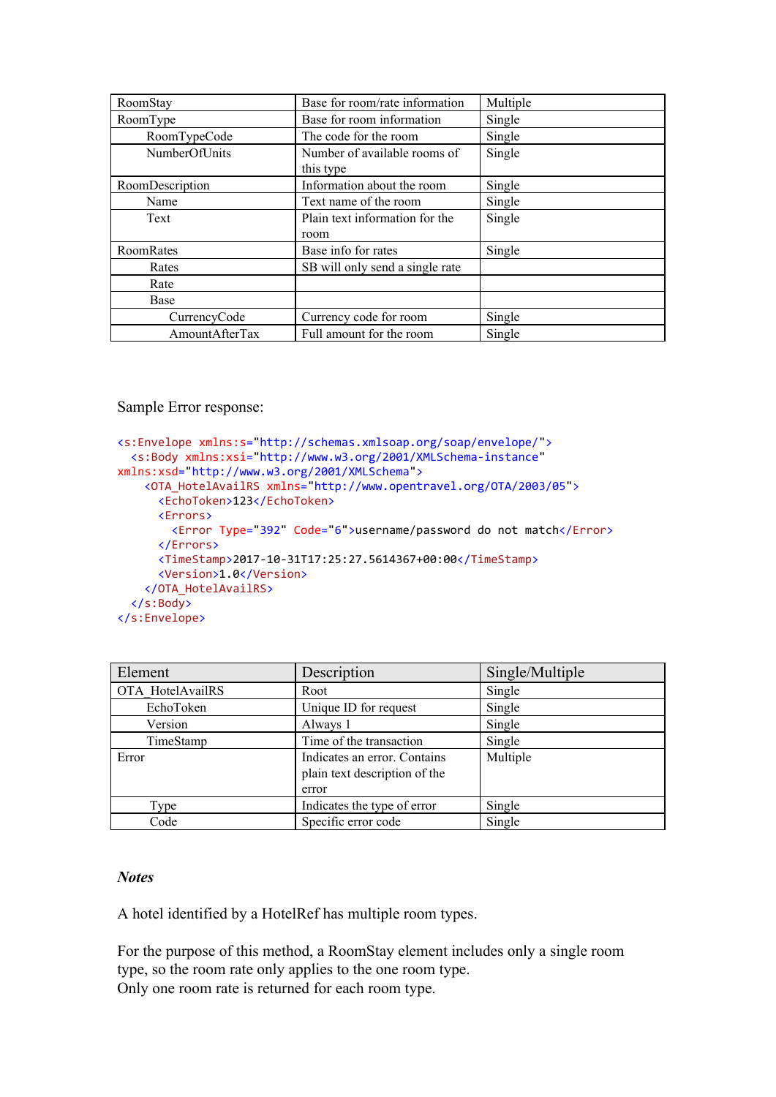| RoomStay        | Base for room/rate information  | Multiple |
|-----------------|---------------------------------|----------|
| RoomType        | Base for room information       | Single   |
| RoomTypeCode    | The code for the room           | Single   |
| NumberOfUnits   | Number of available rooms of    | Single   |
|                 | this type                       |          |
| RoomDescription | Information about the room      | Single   |
| Name            | Text name of the room           | Single   |
| Text            | Plain text information for the  | Single   |
|                 | room                            |          |
| RoomRates       | Base info for rates             | Single   |
| Rates           | SB will only send a single rate |          |
| Rate            |                                 |          |
| Base            |                                 |          |
| CurrencyCode    | Currency code for room          | Single   |
| AmountAfterTax  | Full amount for the room        | Single   |

Sample Error response:

```
<s:Envelope xmlns:s="http://schemas.xmlsoap.org/soap/envelope/">
  <s:Body xmlns:xsi="http://www.w3.org/2001/XMLSchema-instance"
xmlns:xsd="http://www.w3.org/2001/XMLSchema">
   <OTA_HotelAvailRS xmlns="http://www.opentravel.org/OTA/2003/05">
     <EchoToken>123</EchoToken>
     <Errors>
       <Error Type="392" Code="6">username/password do not match</Error>
      </Errors>
      <TimeStamp>2017-10-31T17:25:27.5614367+00:00</TimeStamp>
     <Version>1.0</Version>
   </OTA_HotelAvailRS>
 </s:Body>
</s:Envelope>
```

| Element          | Description                                                            | Single/Multiple |
|------------------|------------------------------------------------------------------------|-----------------|
| OTA HotelAvailRS | Root                                                                   | Single          |
| EchoToken        | Unique ID for request                                                  | Single          |
| Version          | Always 1                                                               | Single          |
| TimeStamp        | Time of the transaction                                                | Single          |
| Error            | Indicates an error. Contains<br>plain text description of the<br>error | Multiple        |
| Type             | Indicates the type of error                                            | Single          |
| Code             | Specific error code                                                    | Single          |

## *Notes*

A hotel identified by a HotelRef has multiple room types.

For the purpose of this method, a RoomStay element includes only a single room type, so the room rate only applies to the one room type. Only one room rate is returned for each room type.